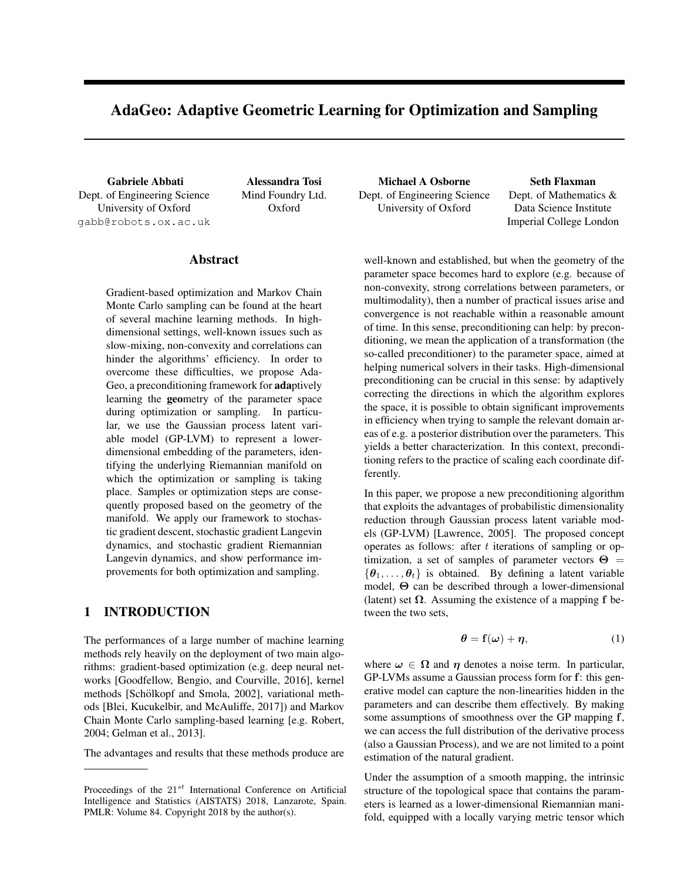# AdaGeo: Adaptive Geometric Learning for Optimization and Sampling

Dept. of Engineering Science University of Oxford gabb@robots.ox.ac.uk Mind Foundry Ltd. Oxford

## Abstract

Gradient-based optimization and Markov Chain Monte Carlo sampling can be found at the heart of several machine learning methods. In highdimensional settings, well-known issues such as slow-mixing, non-convexity and correlations can hinder the algorithms' efficiency. In order to overcome these difficulties, we propose Ada-Geo, a preconditioning framework for adaptively learning the **geo**metry of the parameter space during optimization or sampling. In particular, we use the Gaussian process latent variable model (GP-LVM) to represent a lowerdimensional embedding of the parameters, identifying the underlying Riemannian manifold on which the optimization or sampling is taking place. Samples or optimization steps are consequently proposed based on the geometry of the manifold. We apply our framework to stochastic gradient descent, stochastic gradient Langevin dynamics, and stochastic gradient Riemannian Langevin dynamics, and show performance improvements for both optimization and sampling.

# 1 INTRODUCTION

The performances of a large number of machine learning methods rely heavily on the deployment of two main algorithms: gradient-based optimization (e.g. deep neural networks [Goodfellow, Bengio, and Courville, 2016], kernel methods [Schölkopf and Smola, 2002], variational methods [Blei, Kucukelbir, and McAuliffe, 2017]) and Markov Chain Monte Carlo sampling-based learning [e.g. Robert, 2004; Gelman et al., 2013].

The advantages and results that these methods produce are

Gabriele Abbati Alessandra Tosi Michael A Osborne Seth Flaxman Dept. of Engineering Science University of Oxford

Dept. of Mathematics & Data Science Institute Imperial College London

well-known and established, but when the geometry of the parameter space becomes hard to explore (e.g. because of non-convexity, strong correlations between parameters, or multimodality), then a number of practical issues arise and convergence is not reachable within a reasonable amount of time. In this sense, preconditioning can help: by preconditioning, we mean the application of a transformation (the so-called preconditioner) to the parameter space, aimed at helping numerical solvers in their tasks. High-dimensional preconditioning can be crucial in this sense: by adaptively correcting the directions in which the algorithm explores the space, it is possible to obtain significant improvements in efficiency when trying to sample the relevant domain areas of e.g. a posterior distribution over the parameters. This yields a better characterization. In this context, preconditioning refers to the practice of scaling each coordinate differently.

In this paper, we propose a new preconditioning algorithm that exploits the advantages of probabilistic dimensionality reduction through Gaussian process latent variable models (GP-LVM) [Lawrence, 2005]. The proposed concept operates as follows: after *t* iterations of sampling or optimization, a set of samples of parameter vectors  $\Theta =$  $\{\theta_1, \ldots, \theta_t\}$  is obtained. By defining a latent variable model,  $\Theta$  can be described through a lower-dimensional (latent) set  $\Omega$ . Assuming the existence of a mapping f between the two sets,

$$
\boldsymbol{\theta} = \mathbf{f}(\boldsymbol{\omega}) + \boldsymbol{\eta},\tag{1}
$$

where  $\omega \in \Omega$  and  $\eta$  denotes a noise term. In particular, GP-LVMs assume a Gaussian process form for f: this generative model can capture the non-linearities hidden in the parameters and can describe them effectively. By making some assumptions of smoothness over the GP mapping f, we can access the full distribution of the derivative process (also a Gaussian Process), and we are not limited to a point estimation of the natural gradient.

Under the assumption of a smooth mapping, the intrinsic structure of the topological space that contains the parameters is learned as a lower-dimensional Riemannian manifold, equipped with a locally varying metric tensor which

Proceedings of the 21*st* International Conference on Artificial Intelligence and Statistics (AISTATS) 2018, Lanzarote, Spain. PMLR: Volume 84. Copyright 2018 by the author(s).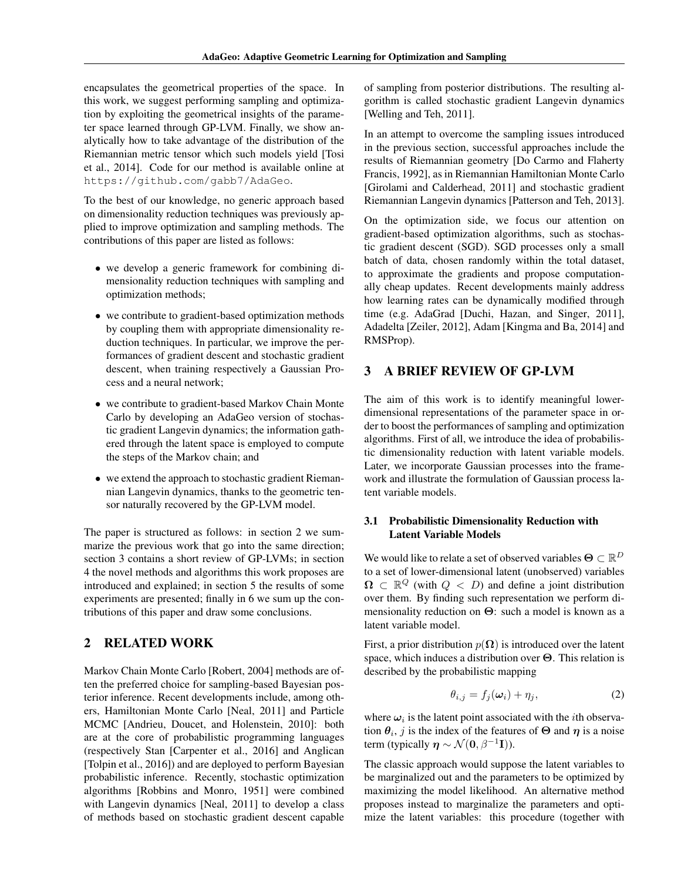encapsulates the geometrical properties of the space. In this work, we suggest performing sampling and optimization by exploiting the geometrical insights of the parameter space learned through GP-LVM. Finally, we show analytically how to take advantage of the distribution of the Riemannian metric tensor which such models yield [Tosi et al., 2014]. Code for our method is available online at https://github.com/gabb7/AdaGeo.

To the best of our knowledge, no generic approach based on dimensionality reduction techniques was previously applied to improve optimization and sampling methods. The contributions of this paper are listed as follows:

- *•* we develop a generic framework for combining dimensionality reduction techniques with sampling and optimization methods;
- we contribute to gradient-based optimization methods by coupling them with appropriate dimensionality reduction techniques. In particular, we improve the performances of gradient descent and stochastic gradient descent, when training respectively a Gaussian Process and a neural network;
- *•* we contribute to gradient-based Markov Chain Monte Carlo by developing an AdaGeo version of stochastic gradient Langevin dynamics; the information gathered through the latent space is employed to compute the steps of the Markov chain; and
- *•* we extend the approach to stochastic gradient Riemannian Langevin dynamics, thanks to the geometric tensor naturally recovered by the GP-LVM model.

The paper is structured as follows: in section 2 we summarize the previous work that go into the same direction; section 3 contains a short review of GP-LVMs; in section 4 the novel methods and algorithms this work proposes are introduced and explained; in section 5 the results of some experiments are presented; finally in 6 we sum up the contributions of this paper and draw some conclusions.

# 2 RELATED WORK

Markov Chain Monte Carlo [Robert, 2004] methods are often the preferred choice for sampling-based Bayesian posterior inference. Recent developments include, among others, Hamiltonian Monte Carlo [Neal, 2011] and Particle MCMC [Andrieu, Doucet, and Holenstein, 2010]: both are at the core of probabilistic programming languages (respectively Stan [Carpenter et al., 2016] and Anglican [Tolpin et al., 2016]) and are deployed to perform Bayesian probabilistic inference. Recently, stochastic optimization algorithms [Robbins and Monro, 1951] were combined with Langevin dynamics [Neal, 2011] to develop a class of methods based on stochastic gradient descent capable of sampling from posterior distributions. The resulting algorithm is called stochastic gradient Langevin dynamics [Welling and Teh, 2011].

In an attempt to overcome the sampling issues introduced in the previous section, successful approaches include the results of Riemannian geometry [Do Carmo and Flaherty Francis, 1992], as in Riemannian Hamiltonian Monte Carlo [Girolami and Calderhead, 2011] and stochastic gradient Riemannian Langevin dynamics [Patterson and Teh, 2013].

On the optimization side, we focus our attention on gradient-based optimization algorithms, such as stochastic gradient descent (SGD). SGD processes only a small batch of data, chosen randomly within the total dataset, to approximate the gradients and propose computationally cheap updates. Recent developments mainly address how learning rates can be dynamically modified through time (e.g. AdaGrad [Duchi, Hazan, and Singer, 2011], Adadelta [Zeiler, 2012], Adam [Kingma and Ba, 2014] and RMSProp).

# 3 A BRIEF REVIEW OF GP-LVM

The aim of this work is to identify meaningful lowerdimensional representations of the parameter space in order to boost the performances of sampling and optimization algorithms. First of all, we introduce the idea of probabilistic dimensionality reduction with latent variable models. Later, we incorporate Gaussian processes into the framework and illustrate the formulation of Gaussian process latent variable models.

## 3.1 Probabilistic Dimensionality Reduction with Latent Variable Models

We would like to relate a set of observed variables  $\Theta \subset \mathbb{R}^D$ to a set of lower-dimensional latent (unobserved) variables  $\Omega \subset \mathbb{R}^Q$  (with  $Q < D$ ) and define a joint distribution over them. By finding such representation we perform dimensionality reduction on  $\Theta$ : such a model is known as a latent variable model.

First, a prior distribution  $p(\Omega)$  is introduced over the latent space, which induces a distribution over  $\Theta$ . This relation is described by the probabilistic mapping

$$
\theta_{i,j} = f_j(\boldsymbol{\omega}_i) + \eta_j,\tag{2}
$$

where  $\omega_i$  is the latent point associated with the *i*th observation  $\theta_i$ , *j* is the index of the features of  $\Theta$  and  $\eta$  is a noise term (typically  $\eta \sim \mathcal{N}(\mathbf{0}, \beta^{-1}I)$ ).

The classic approach would suppose the latent variables to be marginalized out and the parameters to be optimized by maximizing the model likelihood. An alternative method proposes instead to marginalize the parameters and optimize the latent variables: this procedure (together with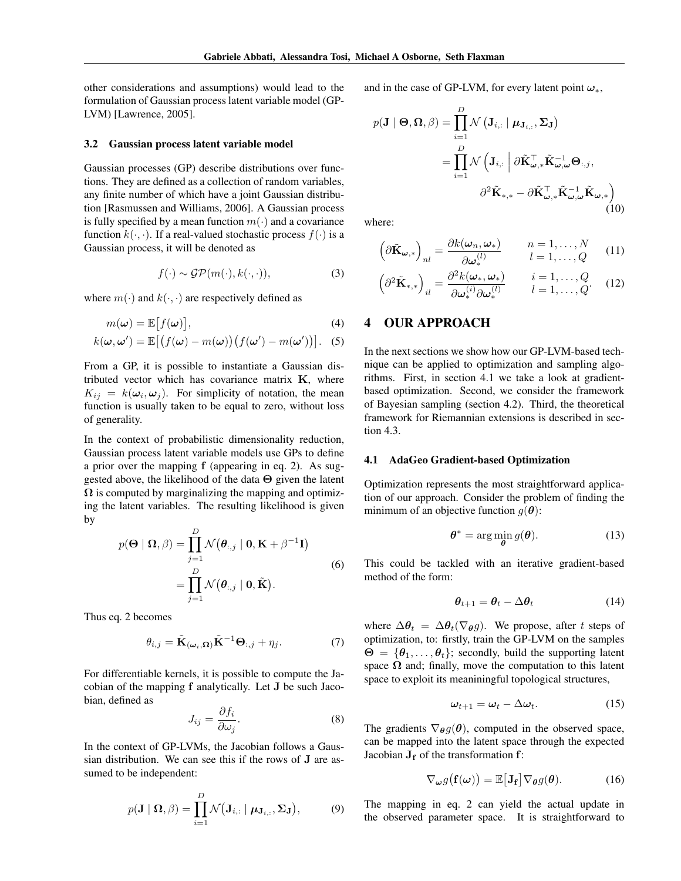other considerations and assumptions) would lead to the formulation of Gaussian process latent variable model (GP-LVM) [Lawrence, 2005].

#### 3.2 Gaussian process latent variable model

Gaussian processes (GP) describe distributions over functions. They are defined as a collection of random variables, any finite number of which have a joint Gaussian distribution [Rasmussen and Williams, 2006]. A Gaussian process is fully specified by a mean function  $m(\cdot)$  and a covariance function  $k(\cdot, \cdot)$ . If a real-valued stochastic process  $f(\cdot)$  is a Gaussian process, it will be denoted as

$$
f(\cdot) \sim \mathcal{GP}(m(\cdot), k(\cdot, \cdot)),\tag{3}
$$

where  $m(\cdot)$  and  $k(\cdot, \cdot)$  are respectively defined as

$$
m(\boldsymbol{\omega}) = \mathbb{E}\big[f(\boldsymbol{\omega})\big],\tag{4}
$$

$$
k(\boldsymbol{\omega},\boldsymbol{\omega}') = \mathbb{E}\big[\big(f(\boldsymbol{\omega}) - m(\boldsymbol{\omega})\big)\big(f(\boldsymbol{\omega}') - m(\boldsymbol{\omega}')\big)\big].\tag{5}
$$

From a GP, it is possible to instantiate a Gaussian distributed vector which has covariance matrix K, where  $K_{ij} = k(\omega_i, \omega_j)$ . For simplicity of notation, the mean function is usually taken to be equal to zero, without loss of generality.

In the context of probabilistic dimensionality reduction, Gaussian process latent variable models use GPs to define a prior over the mapping f (appearing in eq. 2). As suggested above, the likelihood of the data  $\Theta$  given the latent  $\Omega$  is computed by marginalizing the mapping and optimizing the latent variables. The resulting likelihood is given by

$$
p(\mathbf{\Theta} \mid \mathbf{\Omega}, \beta) = \prod_{j=1}^{D} \mathcal{N}(\boldsymbol{\theta}_{:,j} \mid \mathbf{0}, \mathbf{K} + \beta^{-1} \mathbf{I})
$$
  
= 
$$
\prod_{j=1}^{D} \mathcal{N}(\boldsymbol{\theta}_{:,j} \mid \mathbf{0}, \tilde{\mathbf{K}}).
$$
 (6)

Thus eq. 2 becomes

$$
\theta_{i,j} = \tilde{\mathbf{K}}_{(\boldsymbol{\omega}_i,\boldsymbol{\Omega})} \tilde{\mathbf{K}}^{-1} \boldsymbol{\Theta}_{:,j} + \eta_j.
$$
 (7)

For differentiable kernels, it is possible to compute the Jacobian of the mapping f analytically. Let J be such Jacobian, defined as

$$
J_{ij} = \frac{\partial f_i}{\partial \omega_j}.
$$
 (8)

In the context of GP-LVMs, the Jacobian follows a Gaussian distribution. We can see this if the rows of J are assumed to be independent:

$$
p(\mathbf{J} \mid \mathbf{\Omega}, \beta) = \prod_{i=1}^{D} \mathcal{N}(\mathbf{J}_{i,:} \mid \boldsymbol{\mu}_{\mathbf{J}_{i,:}}, \boldsymbol{\Sigma}_{\mathbf{J}}),
$$
(9)

and in the case of GP-LVM, for every latent point  $\omega_*$ ,

$$
p(\mathbf{J} \mid \boldsymbol{\Theta}, \boldsymbol{\Omega}, \beta) = \prod_{i=1}^{D} \mathcal{N} (\mathbf{J}_{i,:} \mid \boldsymbol{\mu}_{\mathbf{J}_{i,:}}, \boldsymbol{\Sigma}_{\mathbf{J}})
$$
  
= 
$$
\prod_{i=1}^{D} \mathcal{N} (\mathbf{J}_{i,:} \mid \partial \tilde{\mathbf{K}}_{\omega,*}^{\top} \tilde{\mathbf{K}}_{\omega,\omega}^{-1} \boldsymbol{\Theta}_{:,j},
$$

$$
\partial^2 \tilde{\mathbf{K}}_{*,*} - \partial \tilde{\mathbf{K}}_{\omega,*}^{\top} \tilde{\mathbf{K}}_{\omega,\omega}^{-1} \tilde{\mathbf{K}}_{\omega,*} )
$$
(10)

where:

$$
\left(\partial \tilde{\mathbf{K}}_{\boldsymbol{\omega},*}\right)_{nl} = \frac{\partial k(\boldsymbol{\omega}_n, \boldsymbol{\omega}_*)}{\partial \boldsymbol{\omega}_*^{(l)}} \qquad n = 1, \dots, N \qquad (11)
$$

$$
\left(\partial^2 \tilde{\mathbf{K}}_{*,*}\right)_{il} = \frac{\partial^2 k(\boldsymbol{\omega}_*, \boldsymbol{\omega}_*)}{\partial \boldsymbol{\omega}_*^{(i)} \partial \boldsymbol{\omega}_*^{(l)}} \qquad i = 1, \dots, Q \qquad (12)
$$

## 4 OUR APPROACH

In the next sections we show how our GP-LVM-based technique can be applied to optimization and sampling algorithms. First, in section 4.1 we take a look at gradientbased optimization. Second, we consider the framework of Bayesian sampling (section 4.2). Third, the theoretical framework for Riemannian extensions is described in section 4.3.

#### 4.1 AdaGeo Gradient-based Optimization

Optimization represents the most straightforward application of our approach. Consider the problem of finding the minimum of an objective function  $q(\boldsymbol{\theta})$ :

$$
\boldsymbol{\theta}^* = \arg\min_{\boldsymbol{\theta}} g(\boldsymbol{\theta}).
$$
 (13)

This could be tackled with an iterative gradient-based method of the form:

$$
\theta_{t+1} = \theta_t - \Delta\theta_t \tag{14}
$$

where  $\Delta \theta_t = \Delta \theta_t (\nabla_\theta g)$ . We propose, after *t* steps of optimization, to: firstly, train the GP-LVM on the samples  $\Theta = {\theta_1, \ldots, \theta_t}$ ; secondly, build the supporting latent space  $\Omega$  and; finally, move the computation to this latent space to exploit its meaniningful topological structures,

$$
\omega_{t+1} = \omega_t - \Delta \omega_t. \tag{15}
$$

The gradients  $\nabla_{\theta} g(\theta)$ , computed in the observed space, can be mapped into the latent space through the expected Jacobian  $J_f$  of the transformation f:

$$
\nabla_{\boldsymbol{\omega}} g(\mathbf{f}(\boldsymbol{\omega})) = \mathbb{E}[\mathbf{J}_{\mathbf{f}}] \nabla_{\boldsymbol{\theta}} g(\boldsymbol{\theta}). \tag{16}
$$

The mapping in eq. 2 can yield the actual update in the observed parameter space. It is straightforward to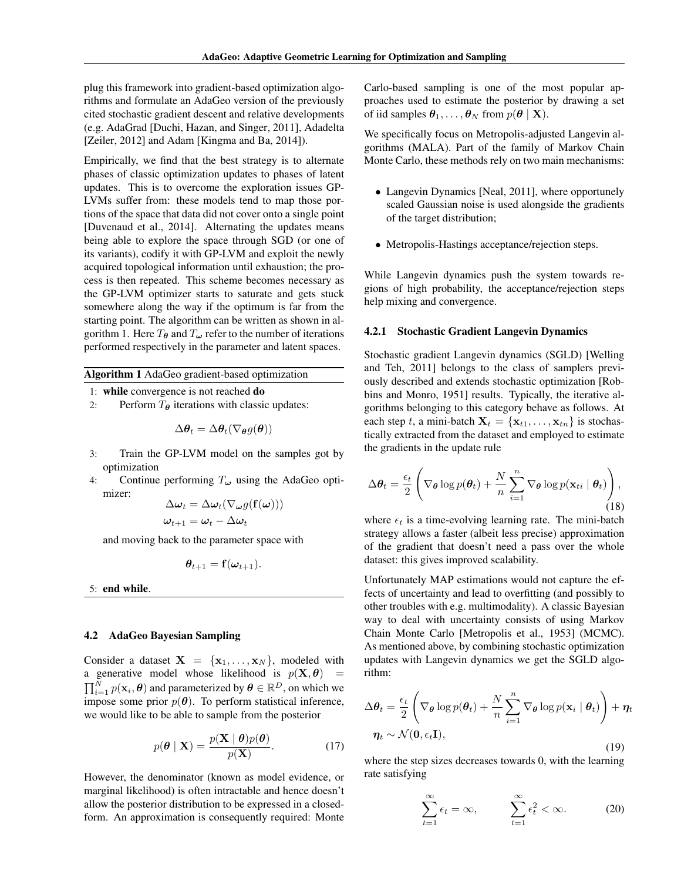plug this framework into gradient-based optimization algorithms and formulate an AdaGeo version of the previously cited stochastic gradient descent and relative developments (e.g. AdaGrad [Duchi, Hazan, and Singer, 2011], Adadelta [Zeiler, 2012] and Adam [Kingma and Ba, 2014]).

Empirically, we find that the best strategy is to alternate phases of classic optimization updates to phases of latent updates. This is to overcome the exploration issues GP-LVMs suffer from: these models tend to map those portions of the space that data did not cover onto a single point [Duvenaud et al., 2014]. Alternating the updates means being able to explore the space through SGD (or one of its variants), codify it with GP-LVM and exploit the newly acquired topological information until exhaustion; the process is then repeated. This scheme becomes necessary as the GP-LVM optimizer starts to saturate and gets stuck somewhere along the way if the optimum is far from the starting point. The algorithm can be written as shown in algorithm 1. Here  $T_{\theta}$  and  $T_{\omega}$  refer to the number of iterations performed respectively in the parameter and latent spaces.

Algorithm 1 AdaGeo gradient-based optimization

- 1: while convergence is not reached do
- 2: Perform  $T_{\theta}$  iterations with classic updates:

$$
\Delta \boldsymbol{\theta}_t = \Delta \boldsymbol{\theta}_t (\nabla \boldsymbol{\theta} g(\boldsymbol{\theta}))
$$

- 3: Train the GP-LVM model on the samples got by optimization
- 4: Continue performing  $T_{\omega}$  using the AdaGeo optimizer:  $(f(\omega)))$

$$
\Delta \omega_t = \Delta \omega_t (\nabla_{\omega} g(\mathbf{f}(\omega))
$$

$$
\omega_{t+1} = \omega_t - \Delta \omega_t
$$

and moving back to the parameter space with

$$
\boldsymbol{\theta}_{t+1} = \mathbf{f}(\boldsymbol{\omega}_{t+1}).
$$

5: end while.

#### 4.2 AdaGeo Bayesian Sampling

Consider a dataset  $X = \{x_1, \ldots, x_N\}$ , modeled with a generative model whose likelihood is  $p(\mathbf{X}, \boldsymbol{\theta}) =$  $\prod_{i=1}^{N} p(\mathbf{x}_i, \boldsymbol{\theta})$  and parameterized by  $\boldsymbol{\theta} \in \mathbb{R}^D$ , on which we impose some prior  $p(\theta)$ . To perform statistical inference, we would like to be able to sample from the posterior

$$
p(\boldsymbol{\theta} \mid \mathbf{X}) = \frac{p(\mathbf{X} \mid \boldsymbol{\theta})p(\boldsymbol{\theta})}{p(\mathbf{X})}.
$$
 (17)

However, the denominator (known as model evidence, or marginal likelihood) is often intractable and hence doesn't allow the posterior distribution to be expressed in a closedform. An approximation is consequently required: Monte

Carlo-based sampling is one of the most popular approaches used to estimate the posterior by drawing a set of iid samples  $\theta_1, \ldots, \theta_N$  from  $p(\theta | \mathbf{X})$ .

We specifically focus on Metropolis-adjusted Langevin algorithms (MALA). Part of the family of Markov Chain Monte Carlo, these methods rely on two main mechanisms:

- *•* Langevin Dynamics [Neal, 2011], where opportunely scaled Gaussian noise is used alongside the gradients of the target distribution;
- *•* Metropolis-Hastings acceptance/rejection steps.

While Langevin dynamics push the system towards regions of high probability, the acceptance/rejection steps help mixing and convergence.

#### 4.2.1 Stochastic Gradient Langevin Dynamics

Stochastic gradient Langevin dynamics (SGLD) [Welling and Teh, 2011] belongs to the class of samplers previously described and extends stochastic optimization [Robbins and Monro, 1951] results. Typically, the iterative algorithms belonging to this category behave as follows. At each step *t*, a mini-batch  $X_t = \{x_{t1}, \ldots, x_{tn}\}\$ is stochastically extracted from the dataset and employed to estimate the gradients in the update rule

$$
\Delta \boldsymbol{\theta}_t = \frac{\epsilon_t}{2} \left( \nabla_{\boldsymbol{\theta}} \log p(\boldsymbol{\theta}_t) + \frac{N}{n} \sum_{i=1}^n \nabla_{\boldsymbol{\theta}} \log p(\mathbf{x}_{ti} | \boldsymbol{\theta}_t) \right),
$$
\n(18)

where  $\epsilon_t$  is a time-evolving learning rate. The mini-batch strategy allows a faster (albeit less precise) approximation of the gradient that doesn't need a pass over the whole dataset: this gives improved scalability.

Unfortunately MAP estimations would not capture the effects of uncertainty and lead to overfitting (and possibly to other troubles with e.g. multimodality). A classic Bayesian way to deal with uncertainty consists of using Markov Chain Monte Carlo [Metropolis et al., 1953] (MCMC). As mentioned above, by combining stochastic optimization updates with Langevin dynamics we get the SGLD algorithm:

$$
\Delta \theta_t = \frac{\epsilon_t}{2} \left( \nabla_{\theta} \log p(\theta_t) + \frac{N}{n} \sum_{i=1}^n \nabla_{\theta} \log p(\mathbf{x}_i \mid \theta_t) \right) + \eta_t
$$

$$
\eta_t \sim \mathcal{N}(\mathbf{0}, \epsilon_t \mathbf{I}),
$$
(19)

where the step sizes decreases towards 0, with the learning rate satisfying

$$
\sum_{t=1}^{\infty} \epsilon_t = \infty, \qquad \sum_{t=1}^{\infty} \epsilon_t^2 < \infty. \tag{20}
$$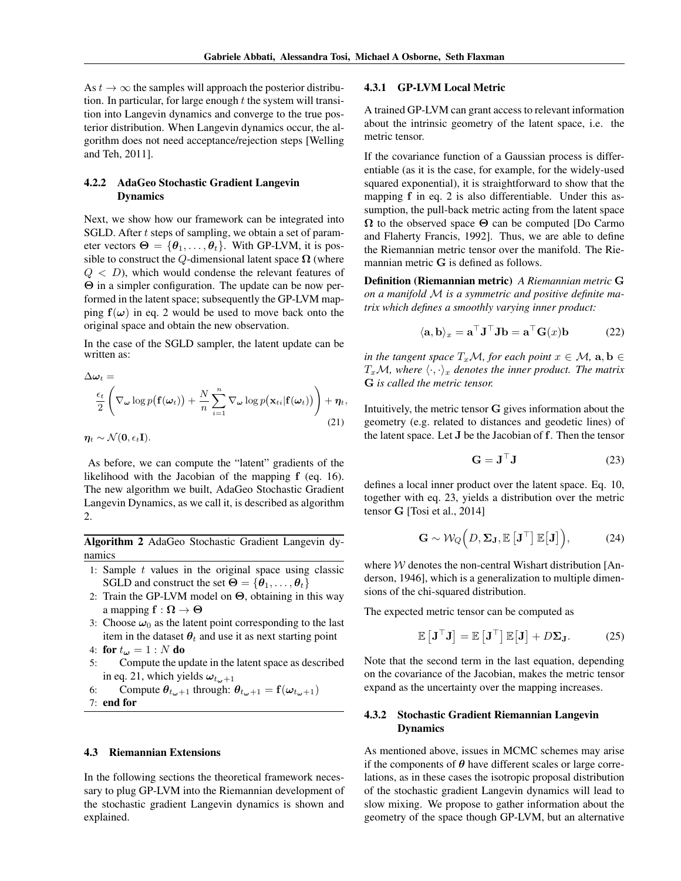As  $t \to \infty$  the samples will approach the posterior distribution. In particular, for large enough *t* the system will transition into Langevin dynamics and converge to the true posterior distribution. When Langevin dynamics occur, the algorithm does not need acceptance/rejection steps [Welling and Teh, 2011].

### 4.2.2 AdaGeo Stochastic Gradient Langevin Dynamics

Next, we show how our framework can be integrated into SGLD. After *t* steps of sampling, we obtain a set of parameter vectors  $\Theta = {\theta_1, \ldots, \theta_t}$ . With GP-LVM, it is possible to construct the *Q*-dimensional latent space  $\Omega$  (where  $Q < D$ ), which would condense the relevant features of  $\Theta$  in a simpler configuration. The update can be now performed in the latent space; subsequently the GP-LVM mapping  $f(\omega)$  in eq. 2 would be used to move back onto the original space and obtain the new observation.

In the case of the SGLD sampler, the latent update can be written as:

$$
\Delta \omega_t =
$$
\n
$$
\frac{\epsilon_t}{2} \left( \nabla \omega \log p(\mathbf{f}(\omega_t)) + \frac{N}{n} \sum_{i=1}^n \nabla \omega \log p(\mathbf{x}_{ti}|\mathbf{f}(\omega_t)) \right) + \eta_t,
$$
\n
$$
\eta_t \sim \mathcal{N}(\mathbf{0}, \epsilon_t \mathbf{I}).
$$
\n(21)

As before, we can compute the "latent" gradients of the likelihood with the Jacobian of the mapping f (eq. 16). The new algorithm we built, AdaGeo Stochastic Gradient Langevin Dynamics, as we call it, is described as algorithm 2.

Algorithm 2 AdaGeo Stochastic Gradient Langevin dynamics

- 1: Sample *t* values in the original space using classic SGLD and construct the set  $\Theta = {\theta_1, \ldots, \theta_t}$
- 2: Train the GP-LVM model on  $\Theta$ , obtaining in this way a mapping  $f : \Omega \to \Theta$
- 3: Choose  $\omega_0$  as the latent point corresponding to the last item in the dataset  $\theta_t$  and use it as next starting point
- 4: for  $t_{\omega} = 1 : N$  do
- 5: Compute the update in the latent space as described in eq. 21, which yields  $\omega_{t_{\omega}+1}$
- 6: Compute  $\theta_{t_{\omega}+1}$  through:  $\theta_{t_{\omega}+1} = \mathbf{f}(\omega_{t_{\omega}+1})$ 7: end for

#### 4.3 Riemannian Extensions

In the following sections the theoretical framework necessary to plug GP-LVM into the Riemannian development of the stochastic gradient Langevin dynamics is shown and explained.

#### 4.3.1 GP-LVM Local Metric

A trained GP-LVM can grant access to relevant information about the intrinsic geometry of the latent space, i.e. the metric tensor.

If the covariance function of a Gaussian process is differentiable (as it is the case, for example, for the widely-used squared exponential), it is straightforward to show that the mapping f in eq. 2 is also differentiable. Under this assumption, the pull-back metric acting from the latent space  $\Omega$  to the observed space  $\Theta$  can be computed [Do Carmo and Flaherty Francis, 1992]. Thus, we are able to define the Riemannian metric tensor over the manifold. The Riemannian metric G is defined as follows.

Definition (Riemannian metric) *A Riemannian metric* G *on a manifold M is a symmetric and positive definite matrix which defines a smoothly varying inner product:*

$$
\langle \mathbf{a}, \mathbf{b} \rangle_x = \mathbf{a}^\top \mathbf{J}^\top \mathbf{J} \mathbf{b} = \mathbf{a}^\top \mathbf{G}(x) \mathbf{b} \tag{22}
$$

*in the tangent space*  $T_xM$ *, for each point*  $x \in M$ *,*  $a, b \in I$  $T_xM$ , where  $\langle \cdot, \cdot \rangle_x$  denotes the inner product. The matrix G *is called the metric tensor.*

Intuitively, the metric tensor G gives information about the geometry (e.g. related to distances and geodetic lines) of the latent space. Let J be the Jacobian of f. Then the tensor

$$
\mathbf{G} = \mathbf{J}^{\top} \mathbf{J} \tag{23}
$$

defines a local inner product over the latent space. Eq. 10, together with eq. 23, yields a distribution over the metric tensor G [Tosi et al., 2014]

$$
\mathbf{G} \sim \mathcal{W}_Q(D, \Sigma_{\mathbf{J}}, \mathbb{E}\left[\mathbf{J}^\top\right] \mathbb{E}\left[\mathbf{J}\right]),\tag{24}
$$

where *W* denotes the non-central Wishart distribution [Anderson, 1946], which is a generalization to multiple dimensions of the chi-squared distribution.

The expected metric tensor can be computed as

$$
\mathbb{E}\left[\mathbf{J}^{\top}\mathbf{J}\right] = \mathbb{E}\left[\mathbf{J}^{\top}\right]\mathbb{E}\left[\mathbf{J}\right] + D\Sigma_{\mathbf{J}}.\tag{25}
$$

Note that the second term in the last equation, depending on the covariance of the Jacobian, makes the metric tensor expand as the uncertainty over the mapping increases.

#### 4.3.2 Stochastic Gradient Riemannian Langevin Dynamics

As mentioned above, issues in MCMC schemes may arise if the components of  $\theta$  have different scales or large correlations, as in these cases the isotropic proposal distribution of the stochastic gradient Langevin dynamics will lead to slow mixing. We propose to gather information about the geometry of the space though GP-LVM, but an alternative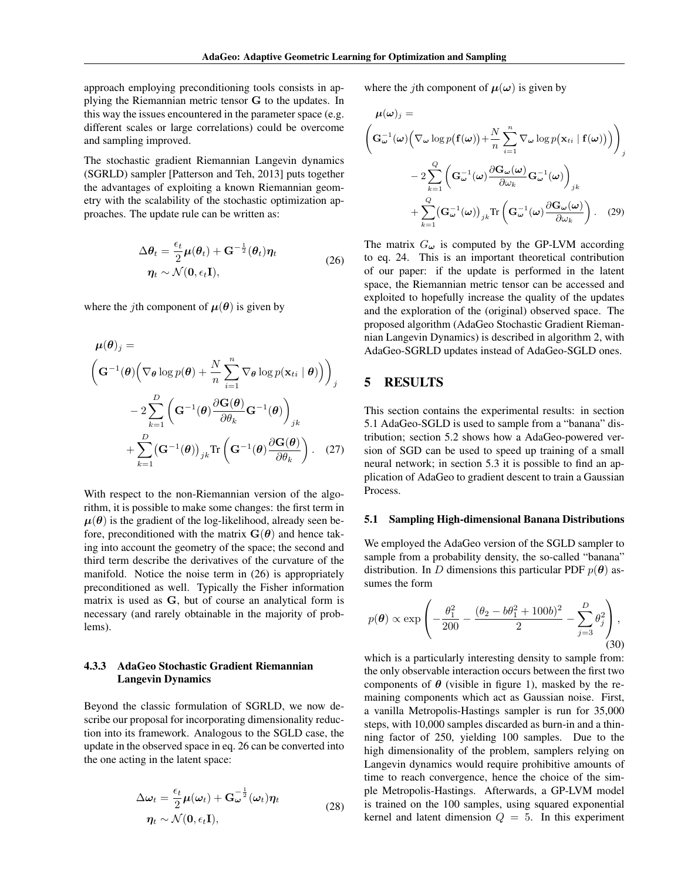approach employing preconditioning tools consists in applying the Riemannian metric tensor G to the updates. In this way the issues encountered in the parameter space (e.g. different scales or large correlations) could be overcome and sampling improved.

The stochastic gradient Riemannian Langevin dynamics (SGRLD) sampler [Patterson and Teh, 2013] puts together the advantages of exploiting a known Riemannian geometry with the scalability of the stochastic optimization approaches. The update rule can be written as:

$$
\Delta \theta_t = \frac{\epsilon_t}{2} \mu(\theta_t) + \mathbf{G}^{-\frac{1}{2}}(\theta_t) \eta_t
$$
  

$$
\eta_t \sim \mathcal{N}(\mathbf{0}, \epsilon_t \mathbf{I}),
$$
 (26)

where the *j*th component of  $\mu(\theta)$  is given by

$$
\mu(\theta)_j =
$$
\n
$$
\left(\mathbf{G}^{-1}(\theta)\left(\nabla_{\theta}\log p(\theta) + \frac{N}{n}\sum_{i=1}^n \nabla_{\theta}\log p(\mathbf{x}_{ti} | \theta)\right)\right)_j
$$
\n
$$
-2\sum_{k=1}^D \left(\mathbf{G}^{-1}(\theta)\frac{\partial \mathbf{G}(\theta)}{\partial \theta_k} \mathbf{G}^{-1}(\theta)\right)_{jk}
$$
\n
$$
+\sum_{k=1}^D (\mathbf{G}^{-1}(\theta))_{jk} \text{Tr}\left(\mathbf{G}^{-1}(\theta)\frac{\partial \mathbf{G}(\theta)}{\partial \theta_k}\right). (27)
$$

With respect to the non-Riemannian version of the algorithm, it is possible to make some changes: the first term in  $\mu(\theta)$  is the gradient of the log-likelihood, already seen before, preconditioned with the matrix  $\mathbf{G}(\boldsymbol{\theta})$  and hence taking into account the geometry of the space; the second and third term describe the derivatives of the curvature of the manifold. Notice the noise term in (26) is appropriately preconditioned as well. Typically the Fisher information matrix is used as G, but of course an analytical form is necessary (and rarely obtainable in the majority of problems).

## 4.3.3 AdaGeo Stochastic Gradient Riemannian Langevin Dynamics

Beyond the classic formulation of SGRLD, we now describe our proposal for incorporating dimensionality reduction into its framework. Analogous to the SGLD case, the update in the observed space in eq. 26 can be converted into the one acting in the latent space:

$$
\Delta \omega_t = \frac{\epsilon_t}{2} \mu(\omega_t) + \mathbf{G}_{\omega}^{-\frac{1}{2}}(\omega_t) \eta_t
$$
  

$$
\eta_t \sim \mathcal{N}(\mathbf{0}, \epsilon_t \mathbf{I}),
$$
 (28)

where the *j*th component of  $\mu(\omega)$  is given by

$$
\mu(\omega)_j =
$$
\n
$$
\left(\mathbf{G}_{\omega}^{-1}(\omega) \left(\nabla_{\omega} \log p(\mathbf{f}(\omega)) + \frac{N}{n} \sum_{i=1}^n \nabla_{\omega} \log p(\mathbf{x}_{ti} | \mathbf{f}(\omega))\right)\right)_j
$$
\n
$$
-2 \sum_{k=1}^Q \left(\mathbf{G}_{\omega}^{-1}(\omega) \frac{\partial \mathbf{G}_{\omega}(\omega)}{\partial \omega_k} \mathbf{G}_{\omega}^{-1}(\omega)\right)_{jk}
$$
\n
$$
+ \sum_{k=1}^Q (\mathbf{G}_{\omega}^{-1}(\omega))_{jk} \text{Tr}\left(\mathbf{G}_{\omega}^{-1}(\omega) \frac{\partial \mathbf{G}_{\omega}(\omega)}{\partial \omega_k}\right). \quad (29)
$$

The matrix  $G_{\omega}$  is computed by the GP-LVM according to eq. 24. This is an important theoretical contribution of our paper: if the update is performed in the latent space, the Riemannian metric tensor can be accessed and exploited to hopefully increase the quality of the updates and the exploration of the (original) observed space. The proposed algorithm (AdaGeo Stochastic Gradient Riemannian Langevin Dynamics) is described in algorithm 2, with AdaGeo-SGRLD updates instead of AdaGeo-SGLD ones.

## 5 RESULTS

This section contains the experimental results: in section 5.1 AdaGeo-SGLD is used to sample from a "banana" distribution; section 5.2 shows how a AdaGeo-powered version of SGD can be used to speed up training of a small neural network; in section 5.3 it is possible to find an application of AdaGeo to gradient descent to train a Gaussian Process.

#### 5.1 Sampling High-dimensional Banana Distributions

We employed the AdaGeo version of the SGLD sampler to sample from a probability density, the so-called "banana" distribution. In *D* dimensions this particular PDF  $p(\theta)$  assumes the form

$$
p(\theta) \propto \exp\left(-\frac{\theta_1^2}{200} - \frac{(\theta_2 - b\theta_1^2 + 100b)^2}{2} - \sum_{j=3}^{D} \theta_j^2\right),\tag{30}
$$

which is a particularly interesting density to sample from: the only observable interaction occurs between the first two components of  $\theta$  (visible in figure 1), masked by the remaining components which act as Gaussian noise. First, a vanilla Metropolis-Hastings sampler is run for 35,000 steps, with 10,000 samples discarded as burn-in and a thinning factor of 250, yielding 100 samples. Due to the high dimensionality of the problem, samplers relying on Langevin dynamics would require prohibitive amounts of time to reach convergence, hence the choice of the simple Metropolis-Hastings. Afterwards, a GP-LVM model is trained on the 100 samples, using squared exponential kernel and latent dimension  $Q = 5$ . In this experiment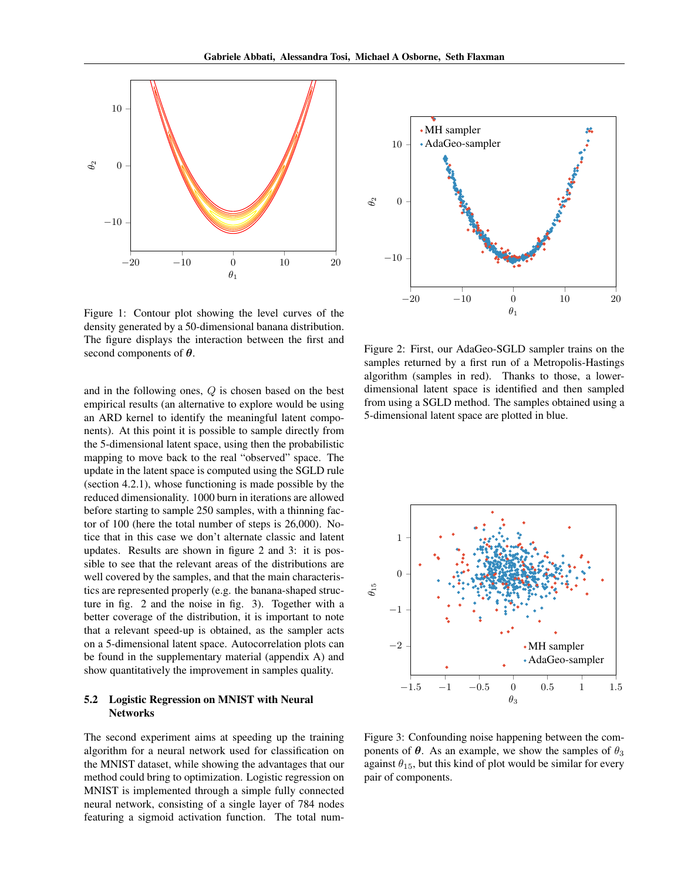

Figure 1: Contour plot showing the level curves of the density generated by a 50-dimensional banana distribution. The figure displays the interaction between the first and second components of  $\theta$ .

and in the following ones, *Q* is chosen based on the best empirical results (an alternative to explore would be using an ARD kernel to identify the meaningful latent components). At this point it is possible to sample directly from the 5-dimensional latent space, using then the probabilistic mapping to move back to the real "observed" space. The update in the latent space is computed using the SGLD rule (section 4.2.1), whose functioning is made possible by the reduced dimensionality. 1000 burn in iterations are allowed before starting to sample 250 samples, with a thinning factor of 100 (here the total number of steps is 26,000). Notice that in this case we don't alternate classic and latent updates. Results are shown in figure 2 and 3: it is possible to see that the relevant areas of the distributions are well covered by the samples, and that the main characteristics are represented properly (e.g. the banana-shaped structure in fig. 2 and the noise in fig. 3). Together with a better coverage of the distribution, it is important to note that a relevant speed-up is obtained, as the sampler acts on a 5-dimensional latent space. Autocorrelation plots can be found in the supplementary material (appendix A) and show quantitatively the improvement in samples quality.

#### 5.2 Logistic Regression on MNIST with Neural **Networks**

The second experiment aims at speeding up the training algorithm for a neural network used for classification on the MNIST dataset, while showing the advantages that our method could bring to optimization. Logistic regression on MNIST is implemented through a simple fully connected neural network, consisting of a single layer of 784 nodes featuring a sigmoid activation function. The total num-



Figure 2: First, our AdaGeo-SGLD sampler trains on the samples returned by a first run of a Metropolis-Hastings algorithm (samples in red). Thanks to those, a lowerdimensional latent space is identified and then sampled from using a SGLD method. The samples obtained using a 5-dimensional latent space are plotted in blue.



Figure 3: Confounding noise happening between the components of  $\theta$ . As an example, we show the samples of  $\theta_3$ against  $\theta_{15}$ , but this kind of plot would be similar for every pair of components.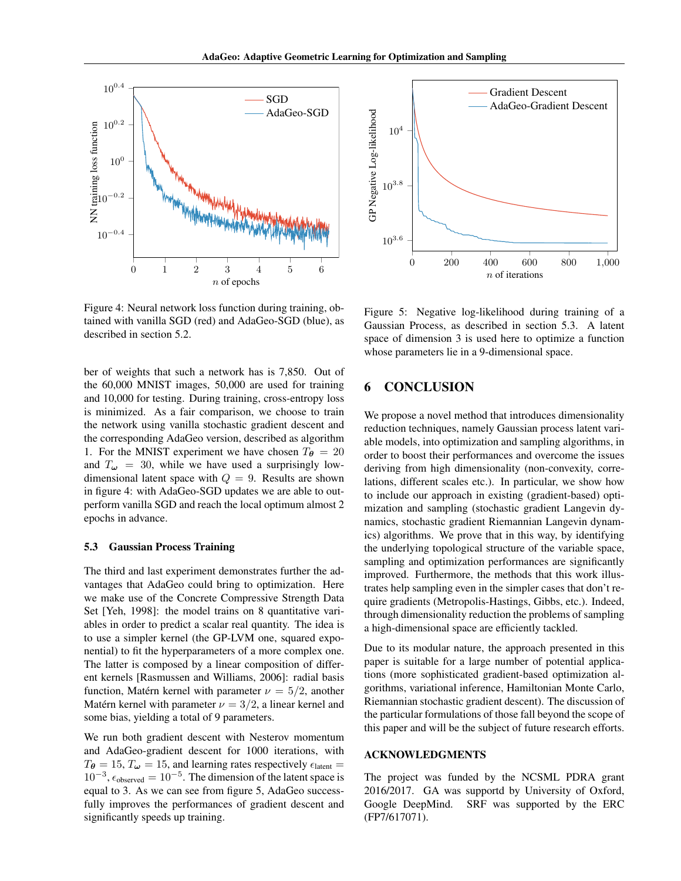

Figure 4: Neural network loss function during training, obtained with vanilla SGD (red) and AdaGeo-SGD (blue), as described in section 5.2.

ber of weights that such a network has is 7,850. Out of the 60,000 MNIST images, 50,000 are used for training and 10,000 for testing. During training, cross-entropy loss is minimized. As a fair comparison, we choose to train the network using vanilla stochastic gradient descent and the corresponding AdaGeo version, described as algorithm 1. For the MNIST experiment we have chosen  $T_{\theta} = 20$ and  $T_{\omega}$  = 30, while we have used a surprisingly lowdimensional latent space with  $Q = 9$ . Results are shown in figure 4: with AdaGeo-SGD updates we are able to outperform vanilla SGD and reach the local optimum almost 2 epochs in advance.

#### 5.3 Gaussian Process Training

The third and last experiment demonstrates further the advantages that AdaGeo could bring to optimization. Here we make use of the Concrete Compressive Strength Data Set [Yeh, 1998]: the model trains on 8 quantitative variables in order to predict a scalar real quantity. The idea is to use a simpler kernel (the GP-LVM one, squared exponential) to fit the hyperparameters of a more complex one. The latter is composed by a linear composition of different kernels [Rasmussen and Williams, 2006]: radial basis function, Matérn kernel with parameter  $\nu = 5/2$ , another Matérn kernel with parameter  $\nu = 3/2$ , a linear kernel and some bias, yielding a total of 9 parameters.

We run both gradient descent with Nesterov momentum and AdaGeo-gradient descent for 1000 iterations, with  $T_{\theta} = 15$ ,  $T_{\omega} = 15$ , and learning rates respectively  $\epsilon_{\text{latent}} =$  $10^{-3}$ ,  $\epsilon_{\text{observed}} = 10^{-5}$ . The dimension of the latent space is equal to 3. As we can see from figure 5, AdaGeo successfully improves the performances of gradient descent and significantly speeds up training.



Figure 5: Negative log-likelihood during training of a Gaussian Process, as described in section 5.3. A latent space of dimension 3 is used here to optimize a function whose parameters lie in a 9-dimensional space.

# 6 CONCLUSION

We propose a novel method that introduces dimensionality reduction techniques, namely Gaussian process latent variable models, into optimization and sampling algorithms, in order to boost their performances and overcome the issues deriving from high dimensionality (non-convexity, correlations, different scales etc.). In particular, we show how to include our approach in existing (gradient-based) optimization and sampling (stochastic gradient Langevin dynamics, stochastic gradient Riemannian Langevin dynamics) algorithms. We prove that in this way, by identifying the underlying topological structure of the variable space, sampling and optimization performances are significantly improved. Furthermore, the methods that this work illustrates help sampling even in the simpler cases that don't require gradients (Metropolis-Hastings, Gibbs, etc.). Indeed, through dimensionality reduction the problems of sampling a high-dimensional space are efficiently tackled.

Due to its modular nature, the approach presented in this paper is suitable for a large number of potential applications (more sophisticated gradient-based optimization algorithms, variational inference, Hamiltonian Monte Carlo, Riemannian stochastic gradient descent). The discussion of the particular formulations of those fall beyond the scope of this paper and will be the subject of future research efforts.

#### ACKNOWLEDGMENTS

The project was funded by the NCSML PDRA grant 2016/2017. GA was supportd by University of Oxford, Google DeepMind. SRF was supported by the ERC (FP7/617071).